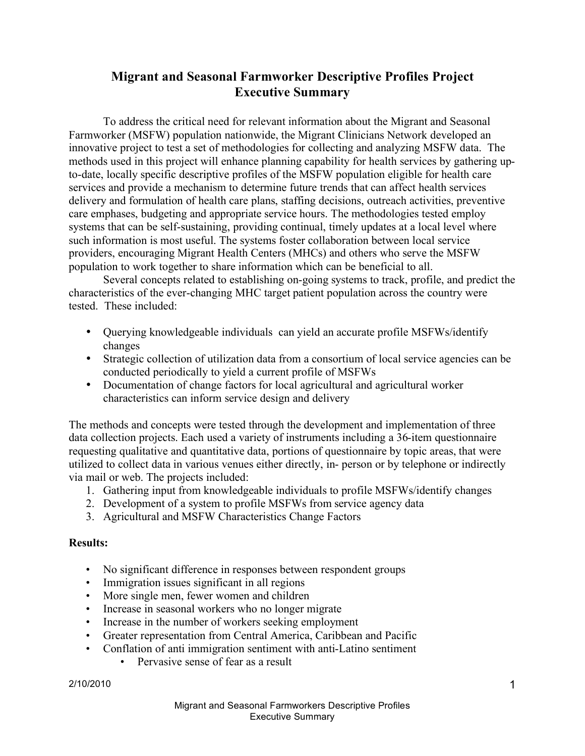# **Migrant and Seasonal Farmworker Descriptive Profiles Project Executive Summary**

To address the critical need for relevant information about the Migrant and Seasonal Farmworker (MSFW) population nationwide, the Migrant Clinicians Network developed an innovative project to test a set of methodologies for collecting and analyzing MSFW data. The methods used in this project will enhance planning capability for health services by gathering upto-date, locally specific descriptive profiles of the MSFW population eligible for health care services and provide a mechanism to determine future trends that can affect health services delivery and formulation of health care plans, staffing decisions, outreach activities, preventive care emphases, budgeting and appropriate service hours. The methodologies tested employ systems that can be self-sustaining, providing continual, timely updates at a local level where such information is most useful. The systems foster collaboration between local service providers, encouraging Migrant Health Centers (MHCs) and others who serve the MSFW population to work together to share information which can be beneficial to all.

Several concepts related to establishing on-going systems to track, profile, and predict the characteristics of the ever-changing MHC target patient population across the country were tested. These included:

- Querying knowledgeable individuals can yield an accurate profile MSFWs/identify changes
- Strategic collection of utilization data from a consortium of local service agencies can be conducted periodically to yield a current profile of MSFWs
- Documentation of change factors for local agricultural and agricultural worker characteristics can inform service design and delivery

The methods and concepts were tested through the development and implementation of three data collection projects. Each used a variety of instruments including a 36-item questionnaire requesting qualitative and quantitative data, portions of questionnaire by topic areas, that were utilized to collect data in various venues either directly, in- person or by telephone or indirectly via mail or web. The projects included:

- 1. Gathering input from knowledgeable individuals to profile MSFWs/identify changes
- 2. Development of a system to profile MSFWs from service agency data
- 3. Agricultural and MSFW Characteristics Change Factors

#### **Results:**

- No significant difference in responses between respondent groups
- Immigration issues significant in all regions
- More single men, fewer women and children
- Increase in seasonal workers who no longer migrate
- Increase in the number of workers seeking employment
- Greater representation from Central America, Caribbean and Pacific
- Conflation of anti immigration sentiment with anti-Latino sentiment
	- Pervasive sense of fear as a result

2/10/2010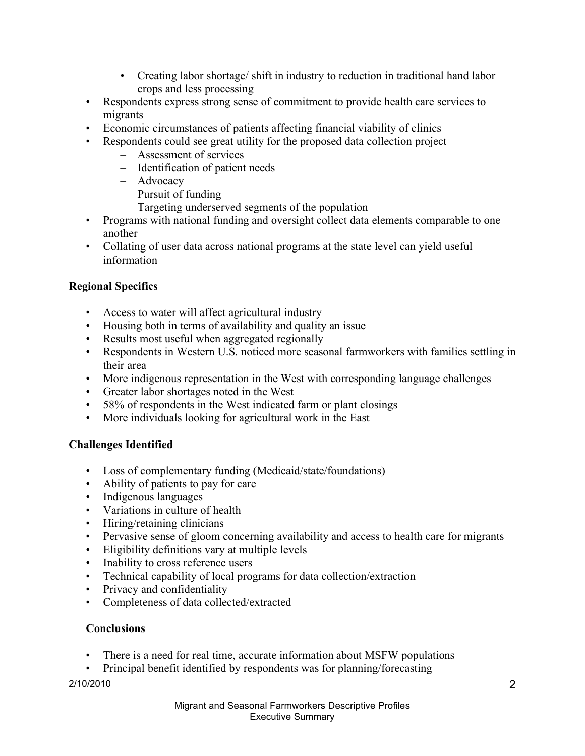- Creating labor shortage/ shift in industry to reduction in traditional hand labor crops and less processing
- Respondents express strong sense of commitment to provide health care services to migrants
- Economic circumstances of patients affecting financial viability of clinics
- Respondents could see great utility for the proposed data collection project
	- Assessment of services
	- Identification of patient needs
	- Advocacy
	- Pursuit of funding
	- Targeting underserved segments of the population
- Programs with national funding and oversight collect data elements comparable to one another
- Collating of user data across national programs at the state level can yield useful information

# **Regional Specifics**

- Access to water will affect agricultural industry
- Housing both in terms of availability and quality an issue
- Results most useful when aggregated regionally
- Respondents in Western U.S. noticed more seasonal farmworkers with families settling in their area
- More indigenous representation in the West with corresponding language challenges
- Greater labor shortages noted in the West
- 58% of respondents in the West indicated farm or plant closings
- More individuals looking for agricultural work in the East

# **Challenges Identified**

- Loss of complementary funding (Medicaid/state/foundations)
- Ability of patients to pay for care
- Indigenous languages
- Variations in culture of health
- Hiring/retaining clinicians
- Pervasive sense of gloom concerning availability and access to health care for migrants
- Eligibility definitions vary at multiple levels
- Inability to cross reference users
- Technical capability of local programs for data collection/extraction
- Privacy and confidentiality
- Completeness of data collected/extracted

#### **Conclusions**

- There is a need for real time, accurate information about MSFW populations
- Principal benefit identified by respondents was for planning/forecasting

2/10/2010